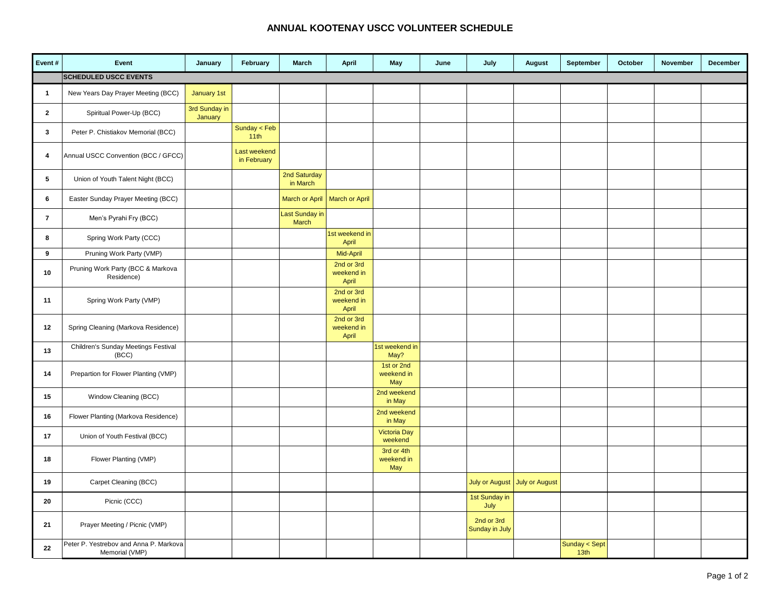## **ANNUAL KOOTENAY USCC VOLUNTEER SCHEDULE**

| Event#         | Event                                                    | January                  | February                    | <b>March</b>             | <b>April</b>                      | May                             | June | July                          | <b>August</b> | September                         | October | November | December |
|----------------|----------------------------------------------------------|--------------------------|-----------------------------|--------------------------|-----------------------------------|---------------------------------|------|-------------------------------|---------------|-----------------------------------|---------|----------|----------|
|                | <b>SCHEDULED USCC EVENTS</b>                             |                          |                             |                          |                                   |                                 |      |                               |               |                                   |         |          |          |
| $\mathbf{1}$   | New Years Day Prayer Meeting (BCC)                       | January 1st              |                             |                          |                                   |                                 |      |                               |               |                                   |         |          |          |
| $\mathbf{2}$   | Spiritual Power-Up (BCC)                                 | 3rd Sunday in<br>January |                             |                          |                                   |                                 |      |                               |               |                                   |         |          |          |
| 3              | Peter P. Chistiakov Memorial (BCC)                       |                          | Sunday < Feb<br>11th        |                          |                                   |                                 |      |                               |               |                                   |         |          |          |
| 4              | Annual USCC Convention (BCC / GFCC)                      |                          | Last weekend<br>in February |                          |                                   |                                 |      |                               |               |                                   |         |          |          |
| 5              | Union of Youth Talent Night (BCC)                        |                          |                             | 2nd Saturday<br>in March |                                   |                                 |      |                               |               |                                   |         |          |          |
| 6              | Easter Sunday Prayer Meeting (BCC)                       |                          |                             | <b>March or April</b>    | <b>March or April</b>             |                                 |      |                               |               |                                   |         |          |          |
| $\overline{7}$ | Men's Pyrahi Fry (BCC)                                   |                          |                             | Last Sunday in<br>March  |                                   |                                 |      |                               |               |                                   |         |          |          |
| 8              | Spring Work Party (CCC)                                  |                          |                             |                          | 1st weekend in<br>April           |                                 |      |                               |               |                                   |         |          |          |
| 9              | Pruning Work Party (VMP)                                 |                          |                             |                          | Mid-April                         |                                 |      |                               |               |                                   |         |          |          |
| 10             | Pruning Work Party (BCC & Markova<br>Residence)          |                          |                             |                          | 2nd or 3rd<br>weekend in<br>April |                                 |      |                               |               |                                   |         |          |          |
| 11             | Spring Work Party (VMP)                                  |                          |                             |                          | 2nd or 3rd<br>weekend in<br>April |                                 |      |                               |               |                                   |         |          |          |
| 12             | Spring Cleaning (Markova Residence)                      |                          |                             |                          | 2nd or 3rd<br>weekend in<br>April |                                 |      |                               |               |                                   |         |          |          |
| 13             | Children's Sunday Meetings Festival<br>(BCC)             |                          |                             |                          |                                   | 1st weekend in<br>May?          |      |                               |               |                                   |         |          |          |
| 14             | Prepartion for Flower Planting (VMP)                     |                          |                             |                          |                                   | 1st or 2nd<br>weekend in<br>May |      |                               |               |                                   |         |          |          |
| 15             | Window Cleaning (BCC)                                    |                          |                             |                          |                                   | 2nd weekend<br>in May           |      |                               |               |                                   |         |          |          |
| 16             | Flower Planting (Markova Residence)                      |                          |                             |                          |                                   | 2nd weekend<br>in May           |      |                               |               |                                   |         |          |          |
| 17             | Union of Youth Festival (BCC)                            |                          |                             |                          |                                   | <b>Victoria Day</b><br>weekend  |      |                               |               |                                   |         |          |          |
| 18             | Flower Planting (VMP)                                    |                          |                             |                          |                                   | 3rd or 4th<br>weekend in<br>May |      |                               |               |                                   |         |          |          |
| 19             | Carpet Cleaning (BCC)                                    |                          |                             |                          |                                   |                                 |      | July or August July or August |               |                                   |         |          |          |
| 20             | Picnic (CCC)                                             |                          |                             |                          |                                   |                                 |      | 1st Sunday in<br>July         |               |                                   |         |          |          |
| 21             | Prayer Meeting / Picnic (VMP)                            |                          |                             |                          |                                   |                                 |      | 2nd or 3rd<br>Sunday in July  |               |                                   |         |          |          |
| 22             | Peter P. Yestrebov and Anna P. Markova<br>Memorial (VMP) |                          |                             |                          |                                   |                                 |      |                               |               | Sunday < Sept<br>13 <sub>th</sub> |         |          |          |